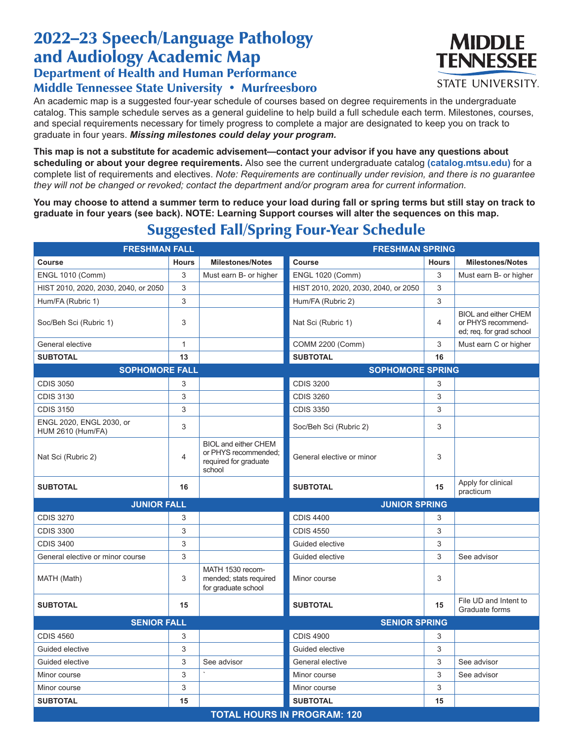## 2022–23 Speech/Language Pathology and Audiology Academic Map Department of Health and Human Performance

## Middle Tennessee State University • Murfreesboro

An academic map is a suggested four-year schedule of courses based on degree requirements in the undergraduate catalog. This sample schedule serves as a general guideline to help build a full schedule each term. Milestones, courses, and special requirements necessary for timely progress to complete a major are designated to keep you on track to graduate in four years. *Missing milestones could delay your program.*

**This map is not a substitute for academic advisement—contact your advisor if you have any questions about scheduling or about your degree requirements.** Also see the current undergraduate catalog **(catalog.mtsu.edu)** for a complete list of requirements and electives. *Note: Requirements are continually under revision, and there is no guarantee they will not be changed or revoked; contact the department and/or program area for current information.*

**You may choose to attend a summer term to reduce your load during fall or spring terms but still stay on track to graduate in four years (see back). NOTE: Learning Support courses will alter the sequences on this map.**

| <b>FRESHMAN FALL</b>                          |                           |                                                                                        | <b>FRESHMAN SPRING</b>               |              |                                                                               |  |  |  |
|-----------------------------------------------|---------------------------|----------------------------------------------------------------------------------------|--------------------------------------|--------------|-------------------------------------------------------------------------------|--|--|--|
| <b>Course</b>                                 | <b>Hours</b>              | <b>Milestones/Notes</b>                                                                | <b>Course</b>                        | <b>Hours</b> | <b>Milestones/Notes</b>                                                       |  |  |  |
| <b>ENGL 1010 (Comm)</b>                       | 3                         | Must earn B- or higher                                                                 | <b>ENGL 1020 (Comm)</b>              | 3            | Must earn B- or higher                                                        |  |  |  |
| HIST 2010, 2020, 2030, 2040, or 2050          | $\ensuremath{\mathsf{3}}$ |                                                                                        | HIST 2010, 2020, 2030, 2040, or 2050 | 3            |                                                                               |  |  |  |
| Hum/FA (Rubric 1)                             | 3                         |                                                                                        | Hum/FA (Rubric 2)                    | 3            |                                                                               |  |  |  |
| Soc/Beh Sci (Rubric 1)                        | 3                         |                                                                                        | Nat Sci (Rubric 1)                   | 4            | <b>BIOL and either CHEM</b><br>or PHYS recommend-<br>ed; req. for grad school |  |  |  |
| General elective                              | $\mathbf{1}$              |                                                                                        | COMM 2200 (Comm)                     | 3            | Must earn C or higher                                                         |  |  |  |
| <b>SUBTOTAL</b>                               | 13                        |                                                                                        | <b>SUBTOTAL</b>                      | 16           |                                                                               |  |  |  |
| <b>SOPHOMORE FALL</b>                         |                           |                                                                                        | <b>SOPHOMORE SPRING</b>              |              |                                                                               |  |  |  |
| <b>CDIS 3050</b>                              | 3                         |                                                                                        | <b>CDIS 3200</b>                     | 3            |                                                                               |  |  |  |
| <b>CDIS 3130</b>                              | 3                         |                                                                                        | <b>CDIS 3260</b>                     | 3            |                                                                               |  |  |  |
| <b>CDIS 3150</b>                              | 3                         |                                                                                        | <b>CDIS 3350</b>                     | 3            |                                                                               |  |  |  |
| ENGL 2020, ENGL 2030, or<br>HUM 2610 (Hum/FA) | 3                         |                                                                                        | Soc/Beh Sci (Rubric 2)               | 3            |                                                                               |  |  |  |
| Nat Sci (Rubric 2)                            | $\overline{4}$            | <b>BIOL and either CHEM</b><br>or PHYS recommended;<br>required for graduate<br>school | General elective or minor            | 3            |                                                                               |  |  |  |
| <b>SUBTOTAL</b>                               | 16                        |                                                                                        | <b>SUBTOTAL</b>                      | 15           | Apply for clinical<br>practicum                                               |  |  |  |
| <b>JUNIOR FALL</b>                            |                           | <b>JUNIOR SPRING</b>                                                                   |                                      |              |                                                                               |  |  |  |
| <b>CDIS 3270</b>                              | 3                         |                                                                                        | <b>CDIS 4400</b>                     | 3            |                                                                               |  |  |  |
| <b>CDIS 3300</b>                              | 3                         |                                                                                        | <b>CDIS 4550</b>                     | 3            |                                                                               |  |  |  |
| <b>CDIS 3400</b>                              | $\ensuremath{\mathsf{3}}$ |                                                                                        | Guided elective                      | 3            |                                                                               |  |  |  |
| General elective or minor course              | $\ensuremath{\mathsf{3}}$ |                                                                                        | Guided elective                      | 3            | See advisor                                                                   |  |  |  |
| MATH (Math)                                   | 3                         | MATH 1530 recom-<br>mended; stats required<br>for graduate school                      | Minor course                         | 3            |                                                                               |  |  |  |
| <b>SUBTOTAL</b>                               | 15                        |                                                                                        | <b>SUBTOTAL</b>                      | 15           | File UD and Intent to<br>Graduate forms                                       |  |  |  |
| <b>SENIOR FALL</b>                            |                           |                                                                                        | <b>SENIOR SPRING</b>                 |              |                                                                               |  |  |  |
| <b>CDIS 4560</b>                              | 3                         |                                                                                        | <b>CDIS 4900</b>                     | 3            |                                                                               |  |  |  |
| Guided elective                               | 3                         |                                                                                        | Guided elective                      | 3            |                                                                               |  |  |  |
| Guided elective                               | 3                         | See advisor                                                                            | General elective                     | 3            | See advisor                                                                   |  |  |  |
| Minor course                                  | 3                         |                                                                                        | Minor course                         | 3            | See advisor                                                                   |  |  |  |
| Minor course                                  | 3                         |                                                                                        | Minor course                         | 3            |                                                                               |  |  |  |
| <b>SUBTOTAL</b>                               | 15                        |                                                                                        | <b>SUBTOTAL</b>                      | 15           |                                                                               |  |  |  |
| <b>TOTAL HOURS IN PROGRAM: 120</b>            |                           |                                                                                        |                                      |              |                                                                               |  |  |  |

## Suggested Fall/Spring Four-Year Schedule